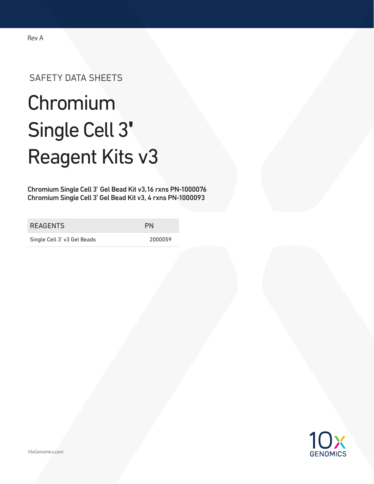### Rev A

# SAFETY DATA SHEETS

# Chromium Single Cell 3**ʹ** Reagent Kits v3

Chromium Single Cell 3ʹ Gel Bead Kit v3,16 rxns PN-1000076 Chromium Single Cell 3ʹ Gel Bead Kit v3, 4 rxns PN-1000093

REAGENTS PN

Single Cell 3' v3 Gel Beads 2000059

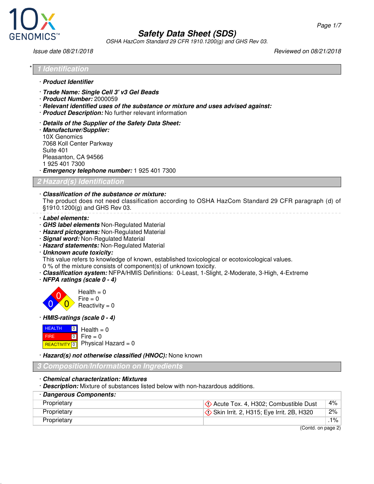

OSHA HazCom Standard 29 CFR 1910.1200(g) and GHS Rev 03.

Issue date 08/21/2018 Reviewed on 08/21/2018

| * 1 Identification |
|--------------------|
|                    |

- · **Product Identifier**
- · **Trade Name: Single Cell 3' v3 Gel Beads**
- · **Product Number:** 2000059
- · **Relevant identified uses of the substance or mixture and uses advised against:**
- · **Product Description:** No further relevant information
- · **Details of the Supplier of the Safety Data Sheet:**
- · **Manufacturer/Supplier:** 10X Genomics 7068 Koll Center Parkway Suite 401 Pleasanton, CA 94566 1 925 401 7300
- · **Emergency telephone number:** 1 925 401 7300

**2 Hazard(s) Identification**

· **Classification of the substance or mixture:** The product does not need classification according to OSHA HazCom Standard 29 CFR paragraph (d) of §1910.1200(g) and GHS Rev 03.

- · **Label elements:**
- · **GHS label elements** Non-Regulated Material
- · **Hazard pictograms:** Non-Regulated Material
- · **Signal word:** Non-Regulated Material
- · **Hazard statements:** Non-Regulated Material
- · **Unknown acute toxicity:**

This value refers to knowledge of known, established toxicological or ecotoxicological values. 0 % of the mixture consists of component(s) of unknown toxicity.

- · **Classification system:** NFPA/HMIS Definitions: 0-Least, 1-Slight, 2-Moderate, 3-High, 4-Extreme
- · **NFPA ratings (scale 0 4)**



· **HMIS-ratings (scale 0 - 4)**

| $HEALTH$ 0 Health = 0 |                                                 |
|-----------------------|-------------------------------------------------|
| <b>FIRE</b>           | $\begin{bmatrix} 0 \\ 1 \end{bmatrix}$ Fire = 0 |
|                       | REACTIVITY 0 Physical Hazard = 0                |

· **Hazard(s) not otherwise classified (HNOC):** None known

#### **3 Composition/Information on Ingredients**

- · **Chemical characterization: Mixtures**
- · **Description:** Mixture of substances listed below with non-hazardous additions.

| · Dangerous Components: |                                                 |       |
|-------------------------|-------------------------------------------------|-------|
| Proprietary             | $\Diamond$ Acute Tox. 4, H302; Combustible Dust | $4\%$ |
| Proprietary             | Skin Irrit. 2, H315; Eye Irrit. 2B, H320        | $2\%$ |
| Proprietary             |                                                 | .1% ∣ |

(Contd. on page 2)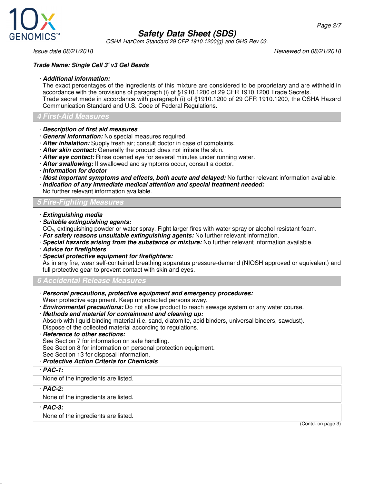

OSHA HazCom Standard 29 CFR 1910.1200(g) and GHS Rev 03.

Issue date 08/21/2018 Reviewed on 08/21/2018

#### **Trade Name: Single Cell 3' v3 Gel Beads**

#### · **Additional information:**

The exact percentages of the ingredients of this mixture are considered to be proprietary and are withheld in accordance with the provisions of paragraph (i) of §1910.1200 of 29 CFR 1910.1200 Trade Secrets. Trade secret made in accordance with paragraph (i) of §1910.1200 of 29 CFR 1910.1200, the OSHA Hazard Communication Standard and U.S. Code of Federal Regulations.

#### **4 First-Aid Measures**

- · **Description of first aid measures**
- · **General information:** No special measures required.
- · **After inhalation:** Supply fresh air; consult doctor in case of complaints.
- · **After skin contact:** Generally the product does not irritate the skin.
- · **After eye contact:** Rinse opened eye for several minutes under running water.
- · **After swallowing:** If swallowed and symptoms occur, consult a doctor.
- · **Information for doctor**
- · **Most important symptoms and effects, both acute and delayed:** No further relevant information available.
- · **Indication of any immediate medical attention and special treatment needed:**
- No further relevant information available.

#### **5 Fire-Fighting Measures**

- · **Extinguishing media**
- · **Suitable extinguishing agents:**
- CO<sub>2</sub>, extinguishing powder or water spray. Fight larger fires with water spray or alcohol resistant foam.
- · **For safety reasons unsuitable extinguishing agents:** No further relevant information.
- · **Special hazards arising from the substance or mixture:** No further relevant information available.
- · **Advice for firefighters**
- · **Special protective equipment for firefighters:**

As in any fire, wear self-contained breathing apparatus pressure-demand (NIOSH approved or equivalent) and full protective gear to prevent contact with skin and eyes.

#### **6 Accidental Release Measures**

- · **Personal precautions, protective equipment and emergency procedures:** Wear protective equipment. Keep unprotected persons away.
- · **Environmental precautions:** Do not allow product to reach sewage system or any water course.
- · **Methods and material for containment and cleaning up:**
- Absorb with liquid-binding material (i.e. sand, diatomite, acid binders, universal binders, sawdust). Dispose of the collected material according to regulations.
- · **Reference to other sections:**

See Section 7 for information on safe handling. See Section 8 for information on personal protection equipment. See Section 13 for disposal information.

- · **Protective Action Criteria for Chemicals**
- · **PAC-1:**

None of the ingredients are listed.

· **PAC-2:**

None of the ingredients are listed.

· **PAC-3:**

None of the ingredients are listed.

(Contd. on page 3)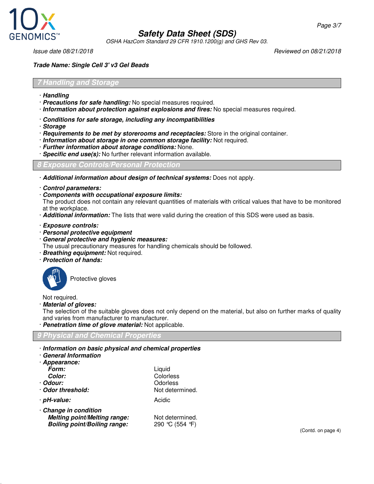

OSHA HazCom Standard 29 CFR 1910.1200(g) and GHS Rev 03.

Issue date 08/21/2018 Reviewed on 08/21/2018

#### **Trade Name: Single Cell 3' v3 Gel Beads**

#### **7 Handling and Storage**

- · **Handling**
- · **Precautions for safe handling:** No special measures required.
- · **Information about protection against explosions and fires:** No special measures required.
- · **Conditions for safe storage, including any incompatibilities**
- · **Storage**
- · **Requirements to be met by storerooms and receptacles:** Store in the original container.
- · **Information about storage in one common storage facility:** Not required.
- · **Further information about storage conditions:** None.
- · **Specific end use(s):** No further relevant information available.

#### **8 Exposure Controls/Personal Protection**

- · **Additional information about design of technical systems:** Does not apply.
- · **Control parameters:**
- · **Components with occupational exposure limits:**

The product does not contain any relevant quantities of materials with critical values that have to be monitored at the workplace.

- · **Additional information:** The lists that were valid during the creation of this SDS were used as basis.
- · **Exposure controls:**
- · **Personal protective equipment**
- · **General protective and hygienic measures:**

The usual precautionary measures for handling chemicals should be followed.

- · **Breathing equipment:** Not required.
- · **Protection of hands:**



Protective gloves

Not required.

· **Material of gloves:**

The selection of the suitable gloves does not only depend on the material, but also on further marks of quality and varies from manufacturer to manufacturer.

· **Penetration time of glove material:** Not applicable.

#### **9 Physical and Chemical Properties**

· **Information on basic physical and chemical properties**

| · Information on basic physical and chemical propertie<br>· General Information |                 |
|---------------------------------------------------------------------------------|-----------------|
| · Appearance:                                                                   |                 |
| Form:                                                                           | Liquid          |
| Color:                                                                          | Colorless       |
| · Odour:                                                                        | Odorless        |
| · Odor threshold:                                                               | Not determined. |
| · pH-value:                                                                     | Acidic          |
| · Change in condition                                                           |                 |
| <b>Melting point/Melting range:</b>                                             | Not determined. |
| <b>Boiling point/Boiling range:</b>                                             | 290 ℃ (554 F)   |

(Contd. on page 4)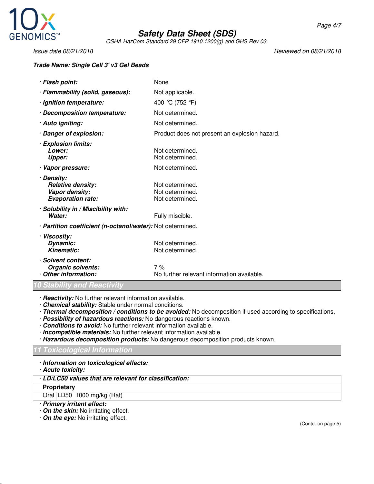

OSHA HazCom Standard 29 CFR 1910.1200(g) and GHS Rev 03.

Issue date 08/21/2018 Reviewed on 08/21/2018

#### **Trade Name: Single Cell 3' v3 Gel Beads**

| · Flash point:                                                                       | None                                                  |  |
|--------------------------------------------------------------------------------------|-------------------------------------------------------|--|
| · Flammability (solid, gaseous):                                                     | Not applicable.                                       |  |
| · Ignition temperature:                                                              | 400 °C (752 °F)                                       |  |
| · Decomposition temperature:                                                         | Not determined.                                       |  |
| · Auto igniting:                                                                     | Not determined.                                       |  |
| · Danger of explosion:                                                               | Product does not present an explosion hazard.         |  |
| · Explosion limits:<br>Lower:<br><b>Upper:</b>                                       | Not determined.<br>Not determined.                    |  |
| · Vapor pressure:                                                                    | Not determined.                                       |  |
| · Density:<br><b>Relative density:</b><br>Vapor density:<br><b>Evaporation rate:</b> | Not determined.<br>Not determined.<br>Not determined. |  |
| · Solubility in / Miscibility with:<br>Water:                                        | Fully miscible.                                       |  |
| · Partition coefficient (n-octanol/water): Not determined.                           |                                                       |  |
| · Viscosity:<br>Dynamic:<br>Kinematic:                                               | Not determined.<br>Not determined.                    |  |
| · Solvent content:<br>Organic solvents:<br>Other information:                        | 7%<br>No further relevant information available.      |  |

#### **10 Stability and Reactivity**

- · **Reactivity:** No further relevant information available.
- · **Chemical stability:** Stable under normal conditions.
- · **Thermal decomposition / conditions to be avoided:** No decomposition if used according to specifications.
- · **Possibility of hazardous reactions:** No dangerous reactions known.
- · **Conditions to avoid:** No further relevant information available.
- · **Incompatible materials:** No further relevant information available.
- · **Hazardous decomposition products:** No dangerous decomposition products known.

#### **11 Toxicological Information**

#### · **Information on toxicological effects:**

- · **Acute toxicity:**
- · **LD/LC50 values that are relevant for classification:**

#### **Proprietary**

Oral LD50 1000 mg/kg (Rat)

- · **Primary irritant effect:**
- · **On the skin:** No irritating effect.
- · **On the eye:** No irritating effect.

(Contd. on page 5)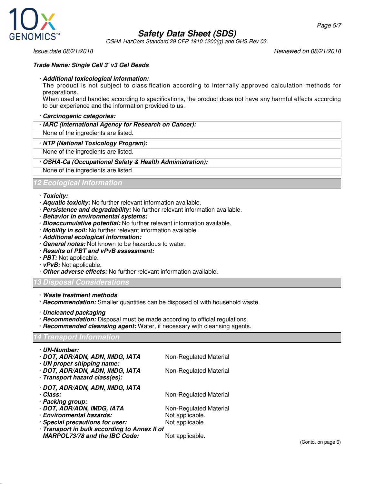

OSHA HazCom Standard 29 CFR 1910.1200(g) and GHS Rev 03.

Issue date 08/21/2018 Reviewed on 08/21/2018

#### **Trade Name: Single Cell 3' v3 Gel Beads**

#### · **Additional toxicological information:**

The product is not subject to classification according to internally approved calculation methods for preparations.

When used and handled according to specifications, the product does not have any harmful effects according to our experience and the information provided to us.

#### · **Carcinogenic categories:**

· **IARC (International Agency for Research on Cancer):**

None of the ingredients are listed.

#### · **NTP (National Toxicology Program):**

None of the ingredients are listed.

#### · **OSHA-Ca (Occupational Safety & Health Administration):**

None of the ingredients are listed.

#### **12 Ecological Information**

#### · **Toxicity:**

- · **Aquatic toxicity:** No further relevant information available.
- · **Persistence and degradability:** No further relevant information available.
- · **Behavior in environmental systems:**
- · **Bioaccumulative potential:** No further relevant information available.
- · **Mobility in soil:** No further relevant information available.
- · **Additional ecological information:**
- · **General notes:** Not known to be hazardous to water.
- · **Results of PBT and vPvB assessment:**
- · **PBT:** Not applicable.
- · **vPvB:** Not applicable.
- · **Other adverse effects:** No further relevant information available.

#### **13 Disposal Considerations**

- · **Waste treatment methods**
- · **Recommendation:** Smaller quantities can be disposed of with household waste.
- · **Uncleaned packaging**
- · **Recommendation:** Disposal must be made according to official regulations.
- · **Recommended cleansing agent:** Water, if necessary with cleansing agents.

#### **14 Transport Information**

| · UN-Number:                                 |                        |
|----------------------------------------------|------------------------|
| · DOT, ADR/ADN, ADN, IMDG, IATA              | Non-Regulated Material |
| · UN proper shipping name:                   |                        |
| · DOT, ADR/ADN, ADN, IMDG, IATA              | Non-Regulated Material |
| · Transport hazard class(es):                |                        |
| · DOT, ADR/ADN, ADN, IMDG, IATA              |                        |
| · Class:                                     | Non-Regulated Material |
| · Packing group:                             |                        |
| · DOT, ADR/ADN, IMDG, IATA                   | Non-Regulated Material |
| · Environmental hazards:                     | Not applicable.        |
| · Special precautions for user:              | Not applicable.        |
| · Transport in bulk according to Annex II of |                        |
| <b>MARPOL73/78 and the IBC Code:</b>         | Not applicable.        |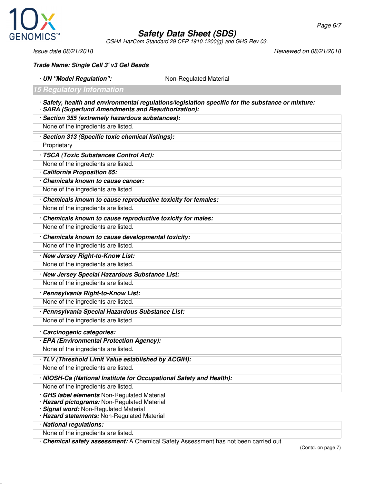

OSHA HazCom Standard 29 CFR 1910.1200(g) and GHS Rev 03.

Page 6/7

Issue date 08/21/2018 Reviewed on 08/21/2018

**Trade Name: Single Cell 3' v3 Gel Beads**

· **UN "Model Regulation":** Non-Regulated Material

- **15 Regulatory Information**
- · **Safety, health and environmental regulations/legislation specific for the substance or mixture:** · **SARA (Superfund Amendments and Reauthorization):**
- · **Section 355 (extremely hazardous substances):**

None of the ingredients are listed.

· **Section 313 (Specific toxic chemical listings):**

**Proprietary** 

· **TSCA (Toxic Substances Control Act):**

None of the ingredients are listed.

· **California Proposition 65:**

· **Chemicals known to cause cancer:**

None of the ingredients are listed.

· **Chemicals known to cause reproductive toxicity for females:**

None of the ingredients are listed.

· **Chemicals known to cause reproductive toxicity for males:**

None of the ingredients are listed.

· **Chemicals known to cause developmental toxicity:**

None of the ingredients are listed.

· **New Jersey Right-to-Know List:**

None of the ingredients are listed.

· **New Jersey Special Hazardous Substance List:**

None of the ingredients are listed.

· **Pennsylvania Right-to-Know List:**

None of the ingredients are listed.

· **Pennsylvania Special Hazardous Substance List:**

None of the ingredients are listed.

- · **Carcinogenic categories:**
- · **EPA (Environmental Protection Agency):**

None of the ingredients are listed.

· **TLV (Threshold Limit Value established by ACGIH):**

None of the ingredients are listed.

#### · **NIOSH-Ca (National Institute for Occupational Safety and Health):**

None of the ingredients are listed.

- · **GHS label elements** Non-Regulated Material
- · **Hazard pictograms:** Non-Regulated Material
- · **Signal word:** Non-Regulated Material
- · **Hazard statements:** Non-Regulated Material

· **National regulations:**

None of the ingredients are listed.

· **Chemical safety assessment:** A Chemical Safety Assessment has not been carried out.